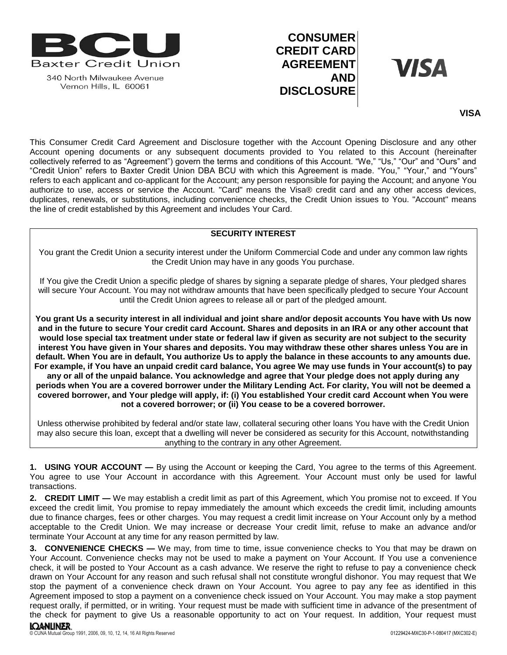

340 North Milwaukee Avenue Vernon Hills, IL 60061

# **CONSUMER CREDIT CARD AGREEMENT AND DISCLOSURE**

## **VISA**

**VISA** 

This Consumer Credit Card Agreement and Disclosure together with the Account Opening Disclosure and any other Account opening documents or any subsequent documents provided to You related to this Account (hereinafter collectively referred to as "Agreement") govern the terms and conditions of this Account. "We," "Us," "Our" and "Ours" and "Credit Union" refers to Baxter Credit Union DBA BCU with which this Agreement is made. "You," "Your," and "Yours" refers to each applicant and co-applicant for the Account; any person responsible for paying the Account; and anyone You authorize to use, access or service the Account. "Card" means the Visa® credit card and any other access devices, duplicates, renewals, or substitutions, including convenience checks, the Credit Union issues to You. "Account" means the line of credit established by this Agreement and includes Your Card.

### **SECURITY INTEREST**

You grant the Credit Union a security interest under the Uniform Commercial Code and under any common law rights the Credit Union may have in any goods You purchase.

If You give the Credit Union a specific pledge of shares by signing a separate pledge of shares, Your pledged shares will secure Your Account. You may not withdraw amounts that have been specifically pledged to secure Your Account until the Credit Union agrees to release all or part of the pledged amount.

**You grant Us a security interest in all individual and joint share and/or deposit accounts You have with Us now and in the future to secure Your credit card Account. Shares and deposits in an IRA or any other account that would lose special tax treatment under state or federal law if given as security are not subject to the security interest You have given in Your shares and deposits. You may withdraw these other shares unless You are in default. When You are in default, You authorize Us to apply the balance in these accounts to any amounts due. For example, if You have an unpaid credit card balance, You agree We may use funds in Your account(s) to pay any or all of the unpaid balance. You acknowledge and agree that Your pledge does not apply during any periods when You are a covered borrower under the Military Lending Act. For clarity, You will not be deemed a covered borrower, and Your pledge will apply, if: (i) You established Your credit card Account when You were not a covered borrower; or (ii) You cease to be a covered borrower.**

Unless otherwise prohibited by federal and/or state law, collateral securing other loans You have with the Credit Union may also secure this loan, except that a dwelling will never be considered as security for this Account, notwithstanding anything to the contrary in any other Agreement.

**1. USING YOUR ACCOUNT —** By using the Account or keeping the Card, You agree to the terms of this Agreement. You agree to use Your Account in accordance with this Agreement. Your Account must only be used for lawful transactions.

**2. CREDIT LIMIT —** We may establish a credit limit as part of this Agreement, which You promise not to exceed. If You exceed the credit limit, You promise to repay immediately the amount which exceeds the credit limit, including amounts due to finance charges, fees or other charges. You may request a credit limit increase on Your Account only by a method acceptable to the Credit Union. We may increase or decrease Your credit limit, refuse to make an advance and/or terminate Your Account at any time for any reason permitted by law.

**3. CONVENIENCE CHECKS —** We may, from time to time, issue convenience checks to You that may be drawn on Your Account. Convenience checks may not be used to make a payment on Your Account. If You use a convenience check, it will be posted to Your Account as a cash advance. We reserve the right to refuse to pay a convenience check drawn on Your Account for any reason and such refusal shall not constitute wrongful dishonor. You may request that We stop the payment of a convenience check drawn on Your Account. You agree to pay any fee as identified in this Agreement imposed to stop a payment on a convenience check issued on Your Account. You may make a stop payment request orally, if permitted, or in writing. Your request must be made with sufficient time in advance of the presentment of the check for payment to give Us a reasonable opportunity to act on Your request. In addition, Your request must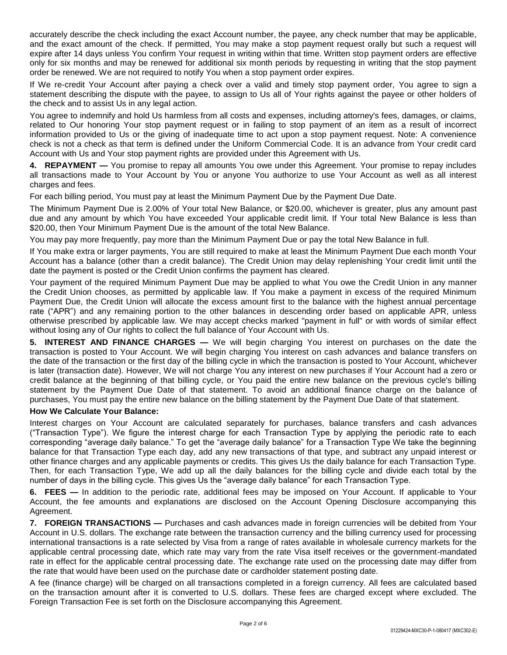accurately describe the check including the exact Account number, the payee, any check number that may be applicable, and the exact amount of the check. If permitted, You may make a stop payment request orally but such a request will expire after 14 days unless You confirm Your request in writing within that time. Written stop payment orders are effective only for six months and may be renewed for additional six month periods by requesting in writing that the stop payment order be renewed. We are not required to notify You when a stop payment order expires.

If We re-credit Your Account after paying a check over a valid and timely stop payment order, You agree to sign a statement describing the dispute with the payee, to assign to Us all of Your rights against the payee or other holders of the check and to assist Us in any legal action.

You agree to indemnify and hold Us harmless from all costs and expenses, including attorney's fees, damages, or claims, related to Our honoring Your stop payment request or in failing to stop payment of an item as a result of incorrect information provided to Us or the giving of inadequate time to act upon a stop payment request. Note: A convenience check is not a check as that term is defined under the Uniform Commercial Code. It is an advance from Your credit card Account with Us and Your stop payment rights are provided under this Agreement with Us.

**4. REPAYMENT —** You promise to repay all amounts You owe under this Agreement. Your promise to repay includes all transactions made to Your Account by You or anyone You authorize to use Your Account as well as all interest charges and fees.

For each billing period, You must pay at least the Minimum Payment Due by the Payment Due Date.

The Minimum Payment Due is 2.00% of Your total New Balance, or \$20.00, whichever is greater, plus any amount past due and any amount by which You have exceeded Your applicable credit limit. If Your total New Balance is less than \$20.00, then Your Minimum Payment Due is the amount of the total New Balance.

You may pay more frequently, pay more than the Minimum Payment Due or pay the total New Balance in full.

If You make extra or larger payments, You are still required to make at least the Minimum Payment Due each month Your Account has a balance (other than a credit balance). The Credit Union may delay replenishing Your credit limit until the date the payment is posted or the Credit Union confirms the payment has cleared.

Your payment of the required Minimum Payment Due may be applied to what You owe the Credit Union in any manner the Credit Union chooses, as permitted by applicable law. If You make a payment in excess of the required Minimum Payment Due, the Credit Union will allocate the excess amount first to the balance with the highest annual percentage rate ("APR") and any remaining portion to the other balances in descending order based on applicable APR, unless otherwise prescribed by applicable law. We may accept checks marked "payment in full" or with words of similar effect without losing any of Our rights to collect the full balance of Your Account with Us.

**5. INTEREST AND FINANCE CHARGES —** We will begin charging You interest on purchases on the date the transaction is posted to Your Account. We will begin charging You interest on cash advances and balance transfers on the date of the transaction or the first day of the billing cycle in which the transaction is posted to Your Account, whichever is later (transaction date). However, We will not charge You any interest on new purchases if Your Account had a zero or credit balance at the beginning of that billing cycle, or You paid the entire new balance on the previous cycle's billing statement by the Payment Due Date of that statement. To avoid an additional finance charge on the balance of purchases, You must pay the entire new balance on the billing statement by the Payment Due Date of that statement.

## **How We Calculate Your Balance:**

Interest charges on Your Account are calculated separately for purchases, balance transfers and cash advances ("Transaction Type"). We figure the interest charge for each Transaction Type by applying the periodic rate to each corresponding "average daily balance." To get the "average daily balance" for a Transaction Type We take the beginning balance for that Transaction Type each day, add any new transactions of that type, and subtract any unpaid interest or other finance charges and any applicable payments or credits. This gives Us the daily balance for each Transaction Type. Then, for each Transaction Type, We add up all the daily balances for the billing cycle and divide each total by the number of days in the billing cycle. This gives Us the "average daily balance" for each Transaction Type.

**6. FEES —** In addition to the periodic rate, additional fees may be imposed on Your Account. If applicable to Your Account, the fee amounts and explanations are disclosed on the Account Opening Disclosure accompanying this Agreement.

**7. FOREIGN TRANSACTIONS —** Purchases and cash advances made in foreign currencies will be debited from Your Account in U.S. dollars. The exchange rate between the transaction currency and the billing currency used for processing international transactions is a rate selected by Visa from a range of rates available in wholesale currency markets for the applicable central processing date, which rate may vary from the rate Visa itself receives or the government-mandated rate in effect for the applicable central processing date. The exchange rate used on the processing date may differ from the rate that would have been used on the purchase date or cardholder statement posting date.

A fee (finance charge) will be charged on all transactions completed in a foreign currency. All fees are calculated based on the transaction amount after it is converted to U.S. dollars. These fees are charged except where excluded. The Foreign Transaction Fee is set forth on the Disclosure accompanying this Agreement.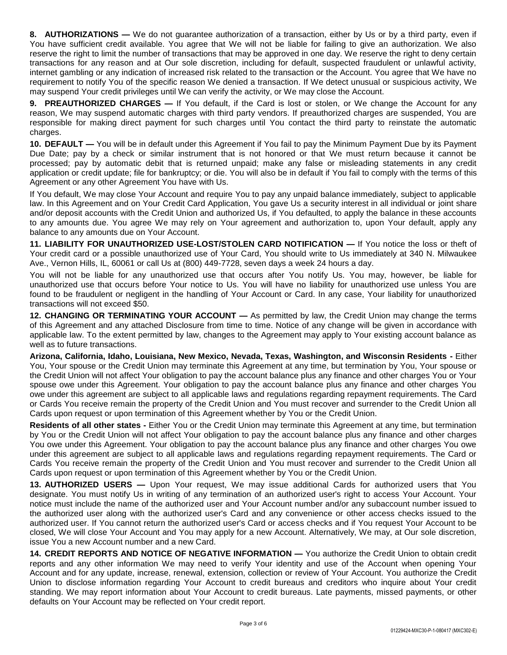**8. AUTHORIZATIONS —** We do not guarantee authorization of a transaction, either by Us or by a third party, even if You have sufficient credit available. You agree that We will not be liable for failing to give an authorization. We also reserve the right to limit the number of transactions that may be approved in one day. We reserve the right to deny certain transactions for any reason and at Our sole discretion, including for default, suspected fraudulent or unlawful activity, internet gambling or any indication of increased risk related to the transaction or the Account. You agree that We have no requirement to notify You of the specific reason We denied a transaction. If We detect unusual or suspicious activity, We may suspend Your credit privileges until We can verify the activity, or We may close the Account.

**9. PREAUTHORIZED CHARGES —** If You default, if the Card is lost or stolen, or We change the Account for any reason, We may suspend automatic charges with third party vendors. If preauthorized charges are suspended, You are responsible for making direct payment for such charges until You contact the third party to reinstate the automatic charges.

**10. DEFAULT —** You will be in default under this Agreement if You fail to pay the Minimum Payment Due by its Payment Due Date; pay by a check or similar instrument that is not honored or that We must return because it cannot be processed; pay by automatic debit that is returned unpaid; make any false or misleading statements in any credit application or credit update; file for bankruptcy; or die. You will also be in default if You fail to comply with the terms of this Agreement or any other Agreement You have with Us.

If You default, We may close Your Account and require You to pay any unpaid balance immediately, subject to applicable law. In this Agreement and on Your Credit Card Application, You gave Us a security interest in all individual or joint share and/or deposit accounts with the Credit Union and authorized Us, if You defaulted, to apply the balance in these accounts to any amounts due. You agree We may rely on Your agreement and authorization to, upon Your default, apply any balance to any amounts due on Your Account.

**11. LIABILITY FOR UNAUTHORIZED USE-LOST/STOLEN CARD NOTIFICATION —** If You notice the loss or theft of Your credit card or a possible unauthorized use of Your Card, You should write to Us immediately at 340 N. Milwaukee Ave., Vernon Hills, IL, 60061 or call Us at (800) 449-7728, seven days a week 24 hours a day.

You will not be liable for any unauthorized use that occurs after You notify Us. You may, however, be liable for unauthorized use that occurs before Your notice to Us. You will have no liability for unauthorized use unless You are found to be fraudulent or negligent in the handling of Your Account or Card. In any case, Your liability for unauthorized transactions will not exceed \$50.

**12. CHANGING OR TERMINATING YOUR ACCOUNT —** As permitted by law, the Credit Union may change the terms of this Agreement and any attached Disclosure from time to time. Notice of any change will be given in accordance with applicable law. To the extent permitted by law, changes to the Agreement may apply to Your existing account balance as well as to future transactions.

**Arizona, California, Idaho, Louisiana, New Mexico, Nevada, Texas, Washington, and Wisconsin Residents -** Either You, Your spouse or the Credit Union may terminate this Agreement at any time, but termination by You, Your spouse or the Credit Union will not affect Your obligation to pay the account balance plus any finance and other charges You or Your spouse owe under this Agreement. Your obligation to pay the account balance plus any finance and other charges You owe under this agreement are subject to all applicable laws and regulations regarding repayment requirements. The Card or Cards You receive remain the property of the Credit Union and You must recover and surrender to the Credit Union all Cards upon request or upon termination of this Agreement whether by You or the Credit Union.

**Residents of all other states -** Either You or the Credit Union may terminate this Agreement at any time, but termination by You or the Credit Union will not affect Your obligation to pay the account balance plus any finance and other charges You owe under this Agreement. Your obligation to pay the account balance plus any finance and other charges You owe under this agreement are subject to all applicable laws and regulations regarding repayment requirements. The Card or Cards You receive remain the property of the Credit Union and You must recover and surrender to the Credit Union all Cards upon request or upon termination of this Agreement whether by You or the Credit Union.

**13. AUTHORIZED USERS —** Upon Your request, We may issue additional Cards for authorized users that You designate. You must notify Us in writing of any termination of an authorized user's right to access Your Account. Your notice must include the name of the authorized user and Your Account number and/or any subaccount number issued to the authorized user along with the authorized user's Card and any convenience or other access checks issued to the authorized user. If You cannot return the authorized user's Card or access checks and if You request Your Account to be closed, We will close Your Account and You may apply for a new Account. Alternatively, We may, at Our sole discretion, issue You a new Account number and a new Card.

**14. CREDIT REPORTS AND NOTICE OF NEGATIVE INFORMATION —** You authorize the Credit Union to obtain credit reports and any other information We may need to verify Your identity and use of the Account when opening Your Account and for any update, increase, renewal, extension, collection or review of Your Account. You authorize the Credit Union to disclose information regarding Your Account to credit bureaus and creditors who inquire about Your credit standing. We may report information about Your Account to credit bureaus. Late payments, missed payments, or other defaults on Your Account may be reflected on Your credit report.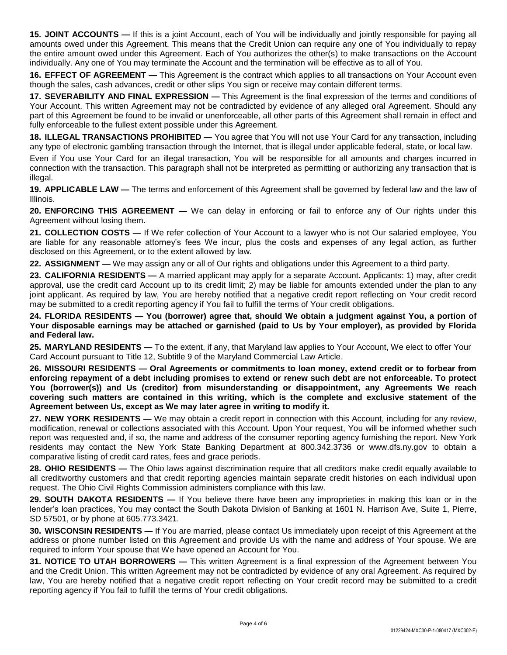**15. JOINT ACCOUNTS —** If this is a joint Account, each of You will be individually and jointly responsible for paying all amounts owed under this Agreement. This means that the Credit Union can require any one of You individually to repay the entire amount owed under this Agreement. Each of You authorizes the other(s) to make transactions on the Account individually. Any one of You may terminate the Account and the termination will be effective as to all of You.

**16. EFFECT OF AGREEMENT —** This Agreement is the contract which applies to all transactions on Your Account even though the sales, cash advances, credit or other slips You sign or receive may contain different terms.

**17. SEVERABILITY AND FINAL EXPRESSION —** This Agreement is the final expression of the terms and conditions of Your Account. This written Agreement may not be contradicted by evidence of any alleged oral Agreement. Should any part of this Agreement be found to be invalid or unenforceable, all other parts of this Agreement shall remain in effect and fully enforceable to the fullest extent possible under this Agreement.

**18. ILLEGAL TRANSACTIONS PROHIBITED —** You agree that You will not use Your Card for any transaction, including any type of electronic gambling transaction through the Internet, that is illegal under applicable federal, state, or local law.

Even if You use Your Card for an illegal transaction, You will be responsible for all amounts and charges incurred in connection with the transaction. This paragraph shall not be interpreted as permitting or authorizing any transaction that is illegal.

**19. APPLICABLE LAW —** The terms and enforcement of this Agreement shall be governed by federal law and the law of Illinois.

**20. ENFORCING THIS AGREEMENT —** We can delay in enforcing or fail to enforce any of Our rights under this Agreement without losing them.

**21. COLLECTION COSTS —** If We refer collection of Your Account to a lawyer who is not Our salaried employee, You are liable for any reasonable attorney's fees We incur, plus the costs and expenses of any legal action, as further disclosed on this Agreement, or to the extent allowed by law.

**22. ASSIGNMENT —** We may assign any or all of Our rights and obligations under this Agreement to a third party.

**23. CALIFORNIA RESIDENTS —** A married applicant may apply for a separate Account. Applicants: 1) may, after credit approval, use the credit card Account up to its credit limit; 2) may be liable for amounts extended under the plan to any joint applicant. As required by law, You are hereby notified that a negative credit report reflecting on Your credit record may be submitted to a credit reporting agency if You fail to fulfill the terms of Your credit obligations.

**24. FLORIDA RESIDENTS — You (borrower) agree that, should We obtain a judgment against You, a portion of Your disposable earnings may be attached or garnished (paid to Us by Your employer), as provided by Florida and Federal law.**

**25. MARYLAND RESIDENTS —** To the extent, if any, that Maryland law applies to Your Account, We elect to offer Your Card Account pursuant to Title 12, Subtitle 9 of the Maryland Commercial Law Article.

**26. MISSOURI RESIDENTS — Oral Agreements or commitments to loan money, extend credit or to forbear from enforcing repayment of a debt including promises to extend or renew such debt are not enforceable. To protect You (borrower(s)) and Us (creditor) from misunderstanding or disappointment, any Agreements We reach covering such matters are contained in this writing, which is the complete and exclusive statement of the Agreement between Us, except as We may later agree in writing to modify it.** 

**27. NEW YORK RESIDENTS —** We may obtain a credit report in connection with this Account, including for any review, modification, renewal or collections associated with this Account. Upon Your request, You will be informed whether such report was requested and, if so, the name and address of the consumer reporting agency furnishing the report. New York residents may contact the New York State Banking Department at 800.342.3736 or www.dfs.ny.gov to obtain a comparative listing of credit card rates, fees and grace periods.

**28. OHIO RESIDENTS —** The Ohio laws against discrimination require that all creditors make credit equally available to all creditworthy customers and that credit reporting agencies maintain separate credit histories on each individual upon request. The Ohio Civil Rights Commission administers compliance with this law.

**29. SOUTH DAKOTA RESIDENTS —** If You believe there have been any improprieties in making this loan or in the lender's loan practices, You may contact the South Dakota Division of Banking at 1601 N. Harrison Ave, Suite 1, Pierre, SD 57501, or by phone at 605.773.3421.

**30. WISCONSIN RESIDENTS —** If You are married, please contact Us immediately upon receipt of this Agreement at the address or phone number listed on this Agreement and provide Us with the name and address of Your spouse. We are required to inform Your spouse that We have opened an Account for You.

**31. NOTICE TO UTAH BORROWERS —** This written Agreement is a final expression of the Agreement between You and the Credit Union. This written Agreement may not be contradicted by evidence of any oral Agreement. As required by law, You are hereby notified that a negative credit report reflecting on Your credit record may be submitted to a credit reporting agency if You fail to fulfill the terms of Your credit obligations.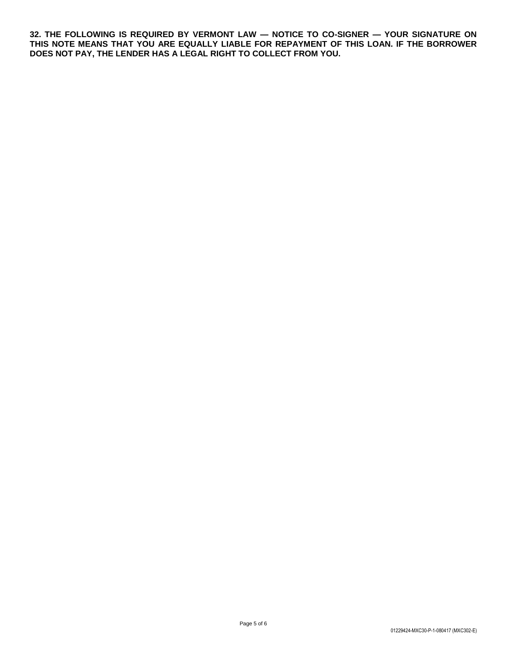**32. THE FOLLOWING IS REQUIRED BY VERMONT LAW — NOTICE TO CO-SIGNER — YOUR SIGNATURE ON THIS NOTE MEANS THAT YOU ARE EQUALLY LIABLE FOR REPAYMENT OF THIS LOAN. IF THE BORROWER DOES NOT PAY, THE LENDER HAS A LEGAL RIGHT TO COLLECT FROM YOU.**